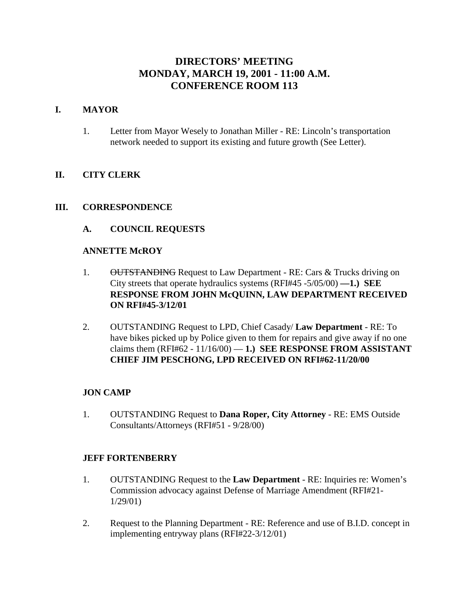# **DIRECTORS' MEETING MONDAY, MARCH 19, 2001 - 11:00 A.M. CONFERENCE ROOM 113**

### **I. MAYOR**

1. Letter from Mayor Wesely to Jonathan Miller - RE: Lincoln's transportation network needed to support its existing and future growth (See Letter).

### **II. CITY CLERK**

### **III. CORRESPONDENCE**

### **A. COUNCIL REQUESTS**

### **ANNETTE McROY**

- 1. OUTSTANDING Request to Law Department RE: Cars & Trucks driving on City streets that operate hydraulics systems (RFI#45 -5/05/00) **—1.) SEE RESPONSE FROM JOHN McQUINN, LAW DEPARTMENT RECEIVED ON RFI#45-3/12/01**
- 2. OUTSTANDING Request to LPD, Chief Casady/ **Law Department** RE: To have bikes picked up by Police given to them for repairs and give away if no one claims them  $(RFI#62 - 11/16/00) - 1$ .) **SEE RESPONSE FROM ASSISTANT CHIEF JIM PESCHONG, LPD RECEIVED ON RFI#62-11/20/00**

### **JON CAMP**

1. OUTSTANDING Request to **Dana Roper, City Attorney** - RE: EMS Outside Consultants/Attorneys (RFI#51 - 9/28/00)

#### **JEFF FORTENBERRY**

- 1. OUTSTANDING Request to the **Law Department** RE: Inquiries re: Women's Commission advocacy against Defense of Marriage Amendment (RFI#21- 1/29/01)
- 2. Request to the Planning Department RE: Reference and use of B.I.D. concept in implementing entryway plans (RFI#22-3/12/01)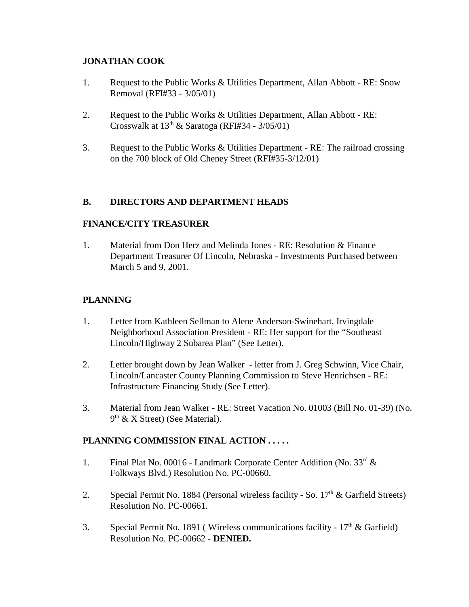## **JONATHAN COOK**

- 1. Request to the Public Works & Utilities Department, Allan Abbott RE: Snow Removal (RFI#33 - 3/05/01)
- 2. Request to the Public Works & Utilities Department, Allan Abbott RE: Crosswalk at  $13<sup>th</sup>$  & Saratoga (RFI#34 - 3/05/01)
- 3. Request to the Public Works & Utilities Department RE: The railroad crossing on the 700 block of Old Cheney Street (RFI#35-3/12/01)

# **B. DIRECTORS AND DEPARTMENT HEADS**

### **FINANCE/CITY TREASURER**

1. Material from Don Herz and Melinda Jones - RE: Resolution & Finance Department Treasurer Of Lincoln, Nebraska - Investments Purchased between March 5 and 9, 2001.

## **PLANNING**

- 1. Letter from Kathleen Sellman to Alene Anderson-Swinehart, Irvingdale Neighborhood Association President - RE: Her support for the "Southeast Lincoln/Highway 2 Subarea Plan" (See Letter).
- 2. Letter brought down by Jean Walker letter from J. Greg Schwinn, Vice Chair, Lincoln/Lancaster County Planning Commission to Steve Henrichsen - RE: Infrastructure Financing Study (See Letter).
- 3. Material from Jean Walker RE: Street Vacation No. 01003 (Bill No. 01-39) (No.  $9<sup>th</sup>$  & X Street) (See Material).

### **PLANNING COMMISSION FINAL ACTION . . . . .**

- 1. Final Plat No. 00016 Landmark Corporate Center Addition (No. 33rd & Folkways Blvd.) Resolution No. PC-00660.
- 2. Special Permit No. 1884 (Personal wireless facility So.  $17<sup>th</sup>$  & Garfield Streets) Resolution No. PC-00661.
- 3. Special Permit No. 1891 (Wireless communications facility  $17<sup>th</sup>$  & Garfield) Resolution No. PC-00662 - **DENIED.**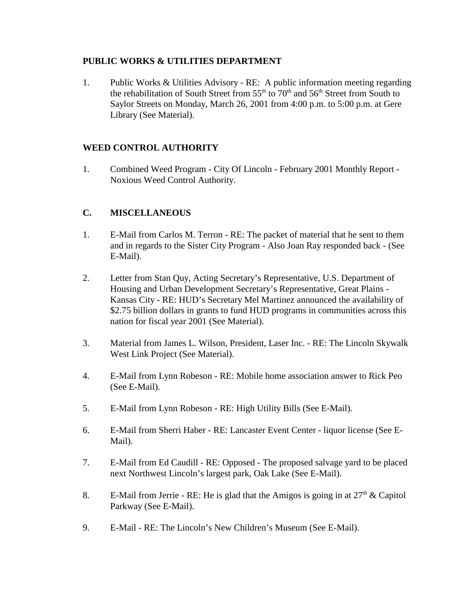### **PUBLIC WORKS & UTILITIES DEPARTMENT**

1. Public Works & Utilities Advisory - RE: A public information meeting regarding the rehabilitation of South Street from  $55<sup>th</sup>$  to  $70<sup>th</sup>$  and  $56<sup>th</sup>$  Street from South to Saylor Streets on Monday, March 26, 2001 from 4:00 p.m. to 5:00 p.m. at Gere Library (See Material).

# **WEED CONTROL AUTHORITY**

1. Combined Weed Program - City Of Lincoln - February 2001 Monthly Report - Noxious Weed Control Authority.

# **C. MISCELLANEOUS**

- 1. E-Mail from Carlos M. Terron RE: The packet of material that he sent to them and in regards to the Sister City Program - Also Joan Ray responded back - (See E-Mail).
- 2. Letter from Stan Quy, Acting Secretary's Representative, U.S. Department of Housing and Urban Development Secretary's Representative, Great Plains - Kansas City - RE: HUD's Secretary Mel Martinez announced the availability of \$2.75 billion dollars in grants to fund HUD programs in communities across this nation for fiscal year 2001 (See Material).
- 3. Material from James L. Wilson, President, Laser Inc. RE: The Lincoln Skywalk West Link Project (See Material).
- 4. E-Mail from Lynn Robeson RE: Mobile home association answer to Rick Peo (See E-Mail).
- 5. E-Mail from Lynn Robeson RE: High Utility Bills (See E-Mail).
- 6. E-Mail from Sherri Haber RE: Lancaster Event Center liquor license (See E-Mail).
- 7. E-Mail from Ed Caudill RE: Opposed The proposed salvage yard to be placed next Northwest Lincoln's largest park, Oak Lake (See E-Mail).
- 8. E-Mail from Jerrie RE: He is glad that the Amigos is going in at  $27<sup>th</sup>$  & Capitol Parkway (See E-Mail).
- 9. E-Mail RE: The Lincoln's New Children's Museum (See E-Mail).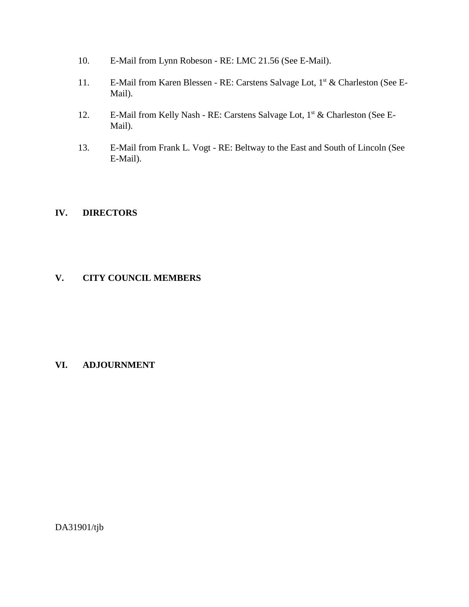- 10. E-Mail from Lynn Robeson RE: LMC 21.56 (See E-Mail).
- 11. E-Mail from Karen Blessen RE: Carstens Salvage Lot, 1<sup>st</sup> & Charleston (See E-Mail).
- 12. E-Mail from Kelly Nash RE: Carstens Salvage Lot, 1<sup>st</sup> & Charleston (See E-Mail).
- 13. E-Mail from Frank L. Vogt RE: Beltway to the East and South of Lincoln (See E-Mail).

## **IV. DIRECTORS**

### **V. CITY COUNCIL MEMBERS**

### **VI. ADJOURNMENT**

DA31901/tjb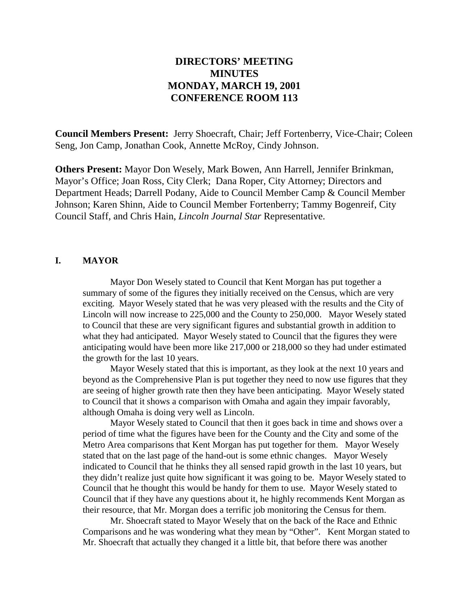# **DIRECTORS' MEETING MINUTES MONDAY, MARCH 19, 2001 CONFERENCE ROOM 113**

**Council Members Present:** Jerry Shoecraft, Chair; Jeff Fortenberry, Vice-Chair; Coleen Seng, Jon Camp, Jonathan Cook, Annette McRoy, Cindy Johnson.

**Others Present:** Mayor Don Wesely, Mark Bowen, Ann Harrell, Jennifer Brinkman, Mayor's Office; Joan Ross, City Clerk; Dana Roper, City Attorney; Directors and Department Heads; Darrell Podany, Aide to Council Member Camp & Council Member Johnson; Karen Shinn, Aide to Council Member Fortenberry; Tammy Bogenreif, City Council Staff, and Chris Hain, *Lincoln Journal Star* Representative.

#### **I. MAYOR**

Mayor Don Wesely stated to Council that Kent Morgan has put together a summary of some of the figures they initially received on the Census, which are very exciting. Mayor Wesely stated that he was very pleased with the results and the City of Lincoln will now increase to 225,000 and the County to 250,000. Mayor Wesely stated to Council that these are very significant figures and substantial growth in addition to what they had anticipated. Mayor Wesely stated to Council that the figures they were anticipating would have been more like 217,000 or 218,000 so they had under estimated the growth for the last 10 years.

Mayor Wesely stated that this is important, as they look at the next 10 years and beyond as the Comprehensive Plan is put together they need to now use figures that they are seeing of higher growth rate then they have been anticipating. Mayor Wesely stated to Council that it shows a comparison with Omaha and again they impair favorably, although Omaha is doing very well as Lincoln.

Mayor Wesely stated to Council that then it goes back in time and shows over a period of time what the figures have been for the County and the City and some of the Metro Area comparisons that Kent Morgan has put together for them. Mayor Wesely stated that on the last page of the hand-out is some ethnic changes. Mayor Wesely indicated to Council that he thinks they all sensed rapid growth in the last 10 years, but they didn't realize just quite how significant it was going to be. Mayor Wesely stated to Council that he thought this would be handy for them to use. Mayor Wesely stated to Council that if they have any questions about it, he highly recommends Kent Morgan as their resource, that Mr. Morgan does a terrific job monitoring the Census for them.

Mr. Shoecraft stated to Mayor Wesely that on the back of the Race and Ethnic Comparisons and he was wondering what they mean by "Other". Kent Morgan stated to Mr. Shoecraft that actually they changed it a little bit, that before there was another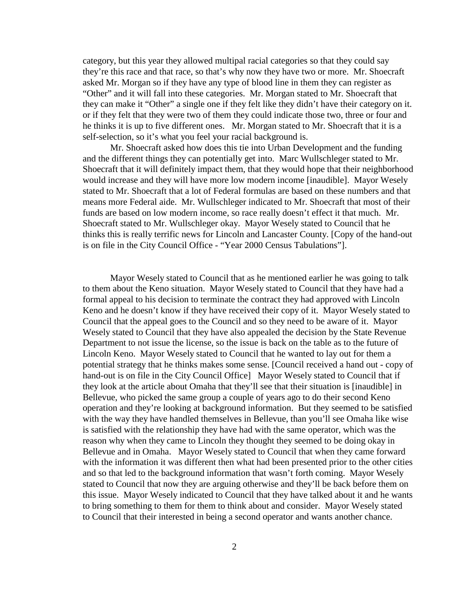category, but this year they allowed multipal racial categories so that they could say they're this race and that race, so that's why now they have two or more. Mr. Shoecraft asked Mr. Morgan so if they have any type of blood line in them they can register as "Other" and it will fall into these categories. Mr. Morgan stated to Mr. Shoecraft that they can make it "Other" a single one if they felt like they didn't have their category on it. or if they felt that they were two of them they could indicate those two, three or four and he thinks it is up to five different ones. Mr. Morgan stated to Mr. Shoecraft that it is a self-selection, so it's what you feel your racial background is.

Mr. Shoecraft asked how does this tie into Urban Development and the funding and the different things they can potentially get into. Marc Wullschleger stated to Mr. Shoecraft that it will definitely impact them, that they would hope that their neighborhood would increase and they will have more low modern income [inaudible]. Mayor Wesely stated to Mr. Shoecraft that a lot of Federal formulas are based on these numbers and that means more Federal aide. Mr. Wullschleger indicated to Mr. Shoecraft that most of their funds are based on low modern income, so race really doesn't effect it that much. Mr. Shoecraft stated to Mr. Wullschleger okay. Mayor Wesely stated to Council that he thinks this is really terrific news for Lincoln and Lancaster County. [Copy of the hand-out is on file in the City Council Office - "Year 2000 Census Tabulations"].

Mayor Wesely stated to Council that as he mentioned earlier he was going to talk to them about the Keno situation. Mayor Wesely stated to Council that they have had a formal appeal to his decision to terminate the contract they had approved with Lincoln Keno and he doesn't know if they have received their copy of it. Mayor Wesely stated to Council that the appeal goes to the Council and so they need to be aware of it. Mayor Wesely stated to Council that they have also appealed the decision by the State Revenue Department to not issue the license, so the issue is back on the table as to the future of Lincoln Keno. Mayor Wesely stated to Council that he wanted to lay out for them a potential strategy that he thinks makes some sense. [Council received a hand out - copy of hand-out is on file in the City Council Office] Mayor Wesely stated to Council that if they look at the article about Omaha that they'll see that their situation is [inaudible] in Bellevue, who picked the same group a couple of years ago to do their second Keno operation and they're looking at background information. But they seemed to be satisfied with the way they have handled themselves in Bellevue, than you'll see Omaha like wise is satisfied with the relationship they have had with the same operator, which was the reason why when they came to Lincoln they thought they seemed to be doing okay in Bellevue and in Omaha. Mayor Wesely stated to Council that when they came forward with the information it was different then what had been presented prior to the other cities and so that led to the background information that wasn't forth coming. Mayor Wesely stated to Council that now they are arguing otherwise and they'll be back before them on this issue. Mayor Wesely indicated to Council that they have talked about it and he wants to bring something to them for them to think about and consider. Mayor Wesely stated to Council that their interested in being a second operator and wants another chance.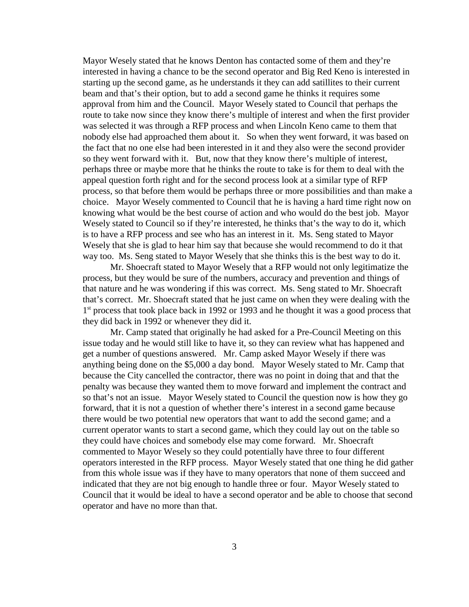Mayor Wesely stated that he knows Denton has contacted some of them and they're interested in having a chance to be the second operator and Big Red Keno is interested in starting up the second game, as he understands it they can add satillites to their current beam and that's their option, but to add a second game he thinks it requires some approval from him and the Council. Mayor Wesely stated to Council that perhaps the route to take now since they know there's multiple of interest and when the first provider was selected it was through a RFP process and when Lincoln Keno came to them that nobody else had approached them about it. So when they went forward, it was based on the fact that no one else had been interested in it and they also were the second provider so they went forward with it. But, now that they know there's multiple of interest, perhaps three or maybe more that he thinks the route to take is for them to deal with the appeal question forth right and for the second process look at a similar type of RFP process, so that before them would be perhaps three or more possibilities and than make a choice. Mayor Wesely commented to Council that he is having a hard time right now on knowing what would be the best course of action and who would do the best job. Mayor Wesely stated to Council so if they're interested, he thinks that's the way to do it, which is to have a RFP process and see who has an interest in it. Ms. Seng stated to Mayor Wesely that she is glad to hear him say that because she would recommend to do it that way too. Ms. Seng stated to Mayor Wesely that she thinks this is the best way to do it.

Mr. Shoecraft stated to Mayor Wesely that a RFP would not only legitimatize the process, but they would be sure of the numbers, accuracy and prevention and things of that nature and he was wondering if this was correct. Ms. Seng stated to Mr. Shoecraft that's correct. Mr. Shoecraft stated that he just came on when they were dealing with the 1<sup>st</sup> process that took place back in 1992 or 1993 and he thought it was a good process that they did back in 1992 or whenever they did it.

Mr. Camp stated that originally he had asked for a Pre-Council Meeting on this issue today and he would still like to have it, so they can review what has happened and get a number of questions answered. Mr. Camp asked Mayor Wesely if there was anything being done on the \$5,000 a day bond. Mayor Wesely stated to Mr. Camp that because the City cancelled the contractor, there was no point in doing that and that the penalty was because they wanted them to move forward and implement the contract and so that's not an issue. Mayor Wesely stated to Council the question now is how they go forward, that it is not a question of whether there's interest in a second game because there would be two potential new operators that want to add the second game; and a current operator wants to start a second game, which they could lay out on the table so they could have choices and somebody else may come forward. Mr. Shoecraft commented to Mayor Wesely so they could potentially have three to four different operators interested in the RFP process. Mayor Wesely stated that one thing he did gather from this whole issue was if they have to many operators that none of them succeed and indicated that they are not big enough to handle three or four. Mayor Wesely stated to Council that it would be ideal to have a second operator and be able to choose that second operator and have no more than that.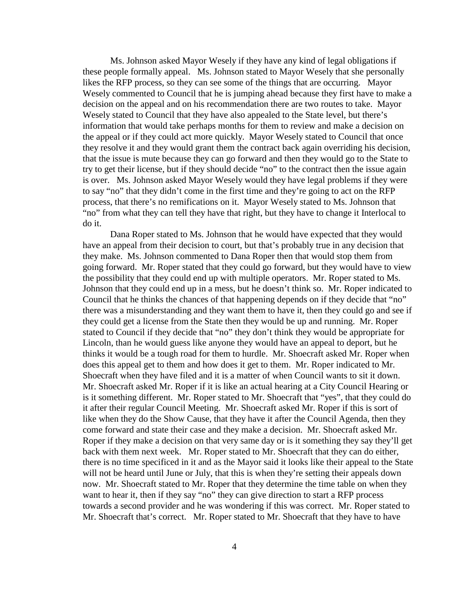Ms. Johnson asked Mayor Wesely if they have any kind of legal obligations if these people formally appeal. Ms. Johnson stated to Mayor Wesely that she personally likes the RFP process, so they can see some of the things that are occurring. Mayor Wesely commented to Council that he is jumping ahead because they first have to make a decision on the appeal and on his recommendation there are two routes to take. Mayor Wesely stated to Council that they have also appealed to the State level, but there's information that would take perhaps months for them to review and make a decision on the appeal or if they could act more quickly. Mayor Wesely stated to Council that once they resolve it and they would grant them the contract back again overriding his decision, that the issue is mute because they can go forward and then they would go to the State to try to get their license, but if they should decide "no" to the contract then the issue again is over. Ms. Johnson asked Mayor Wesely would they have legal problems if they were to say "no" that they didn't come in the first time and they're going to act on the RFP process, that there's no remifications on it. Mayor Wesely stated to Ms. Johnson that "no" from what they can tell they have that right, but they have to change it Interlocal to do it.

Dana Roper stated to Ms. Johnson that he would have expected that they would have an appeal from their decision to court, but that's probably true in any decision that they make. Ms. Johnson commented to Dana Roper then that would stop them from going forward. Mr. Roper stated that they could go forward, but they would have to view the possibility that they could end up with multiple operators. Mr. Roper stated to Ms. Johnson that they could end up in a mess, but he doesn't think so. Mr. Roper indicated to Council that he thinks the chances of that happening depends on if they decide that "no" there was a misunderstanding and they want them to have it, then they could go and see if they could get a license from the State then they would be up and running. Mr. Roper stated to Council if they decide that "no" they don't think they would be appropriate for Lincoln, than he would guess like anyone they would have an appeal to deport, but he thinks it would be a tough road for them to hurdle. Mr. Shoecraft asked Mr. Roper when does this appeal get to them and how does it get to them. Mr. Roper indicated to Mr. Shoecraft when they have filed and it is a matter of when Council wants to sit it down. Mr. Shoecraft asked Mr. Roper if it is like an actual hearing at a City Council Hearing or is it something different. Mr. Roper stated to Mr. Shoecraft that "yes", that they could do it after their regular Council Meeting. Mr. Shoecraft asked Mr. Roper if this is sort of like when they do the Show Cause, that they have it after the Council Agenda, then they come forward and state their case and they make a decision. Mr. Shoecraft asked Mr. Roper if they make a decision on that very same day or is it something they say they'll get back with them next week. Mr. Roper stated to Mr. Shoecraft that they can do either, there is no time specificed in it and as the Mayor said it looks like their appeal to the State will not be heard until June or July, that this is when they're setting their appeals down now. Mr. Shoecraft stated to Mr. Roper that they determine the time table on when they want to hear it, then if they say "no" they can give direction to start a RFP process towards a second provider and he was wondering if this was correct. Mr. Roper stated to Mr. Shoecraft that's correct. Mr. Roper stated to Mr. Shoecraft that they have to have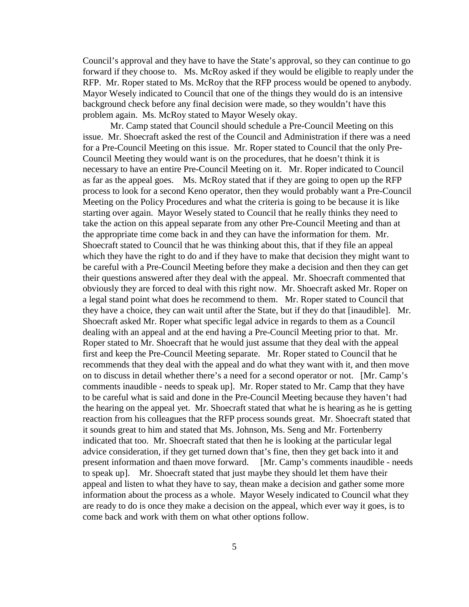Council's approval and they have to have the State's approval, so they can continue to go forward if they choose to. Ms. McRoy asked if they would be eligible to reaply under the RFP. Mr. Roper stated to Ms. McRoy that the RFP process would be opened to anybody. Mayor Wesely indicated to Council that one of the things they would do is an intensive background check before any final decision were made, so they wouldn't have this problem again. Ms. McRoy stated to Mayor Wesely okay.

Mr. Camp stated that Council should schedule a Pre-Council Meeting on this issue. Mr. Shoecraft asked the rest of the Council and Administration if there was a need for a Pre-Council Meeting on this issue. Mr. Roper stated to Council that the only Pre-Council Meeting they would want is on the procedures, that he doesn't think it is necessary to have an entire Pre-Council Meeting on it. Mr. Roper indicated to Council as far as the appeal goes. Ms. McRoy stated that if they are going to open up the RFP process to look for a second Keno operator, then they would probably want a Pre-Council Meeting on the Policy Procedures and what the criteria is going to be because it is like starting over again. Mayor Wesely stated to Council that he really thinks they need to take the action on this appeal separate from any other Pre-Council Meeting and than at the appropriate time come back in and they can have the information for them. Mr. Shoecraft stated to Council that he was thinking about this, that if they file an appeal which they have the right to do and if they have to make that decision they might want to be careful with a Pre-Council Meeting before they make a decision and then they can get their questions answered after they deal with the appeal. Mr. Shoecraft commented that obviously they are forced to deal with this right now. Mr. Shoecraft asked Mr. Roper on a legal stand point what does he recommend to them. Mr. Roper stated to Council that they have a choice, they can wait until after the State, but if they do that [inaudible]. Mr. Shoecraft asked Mr. Roper what specific legal advice in regards to them as a Council dealing with an appeal and at the end having a Pre-Council Meeting prior to that. Mr. Roper stated to Mr. Shoecraft that he would just assume that they deal with the appeal first and keep the Pre-Council Meeting separate. Mr. Roper stated to Council that he recommends that they deal with the appeal and do what they want with it, and then move on to discuss in detail whether there's a need for a second operator or not. [Mr. Camp's comments inaudible - needs to speak up]. Mr. Roper stated to Mr. Camp that they have to be careful what is said and done in the Pre-Council Meeting because they haven't had the hearing on the appeal yet. Mr. Shoecraft stated that what he is hearing as he is getting reaction from his colleagues that the RFP process sounds great. Mr. Shoecraft stated that it sounds great to him and stated that Ms. Johnson, Ms. Seng and Mr. Fortenberry indicated that too. Mr. Shoecraft stated that then he is looking at the particular legal advice consideration, if they get turned down that's fine, then they get back into it and present information and thaen move forward. [Mr. Camp's comments inaudible - needs to speak up]. Mr. Shoecraft stated that just maybe they should let them have their appeal and listen to what they have to say, thean make a decision and gather some more information about the process as a whole. Mayor Wesely indicated to Council what they are ready to do is once they make a decision on the appeal, which ever way it goes, is to come back and work with them on what other options follow.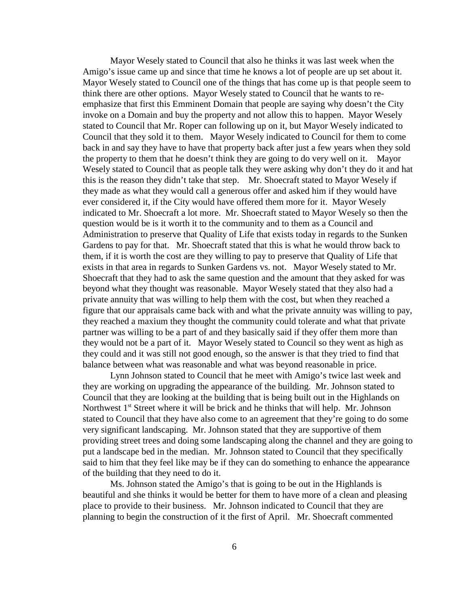Mayor Wesely stated to Council that also he thinks it was last week when the Amigo's issue came up and since that time he knows a lot of people are up set about it. Mayor Wesely stated to Council one of the things that has come up is that people seem to think there are other options. Mayor Wesely stated to Council that he wants to reemphasize that first this Emminent Domain that people are saying why doesn't the City invoke on a Domain and buy the property and not allow this to happen. Mayor Wesely stated to Council that Mr. Roper can following up on it, but Mayor Wesely indicated to Council that they sold it to them. Mayor Wesely indicated to Council for them to come back in and say they have to have that property back after just a few years when they sold the property to them that he doesn't think they are going to do very well on it. Mayor Wesely stated to Council that as people talk they were asking why don't they do it and hat this is the reason they didn't take that step. Mr. Shoecraft stated to Mayor Wesely if they made as what they would call a generous offer and asked him if they would have ever considered it, if the City would have offered them more for it. Mayor Wesely indicated to Mr. Shoecraft a lot more. Mr. Shoecraft stated to Mayor Wesely so then the question would be is it worth it to the community and to them as a Council and Administration to preserve that Quality of Life that exists today in regards to the Sunken Gardens to pay for that. Mr. Shoecraft stated that this is what he would throw back to them, if it is worth the cost are they willing to pay to preserve that Quality of Life that exists in that area in regards to Sunken Gardens vs. not. Mayor Wesely stated to Mr. Shoecraft that they had to ask the same question and the amount that they asked for was beyond what they thought was reasonable. Mayor Wesely stated that they also had a private annuity that was willing to help them with the cost, but when they reached a figure that our appraisals came back with and what the private annuity was willing to pay, they reached a maxium they thought the community could tolerate and what that private partner was willing to be a part of and they basically said if they offer them more than they would not be a part of it. Mayor Wesely stated to Council so they went as high as they could and it was still not good enough, so the answer is that they tried to find that balance between what was reasonable and what was beyond reasonable in price.

Lynn Johnson stated to Council that he meet with Amigo's twice last week and they are working on upgrading the appearance of the building. Mr. Johnson stated to Council that they are looking at the building that is being built out in the Highlands on Northwest 1<sup>st</sup> Street where it will be brick and he thinks that will help. Mr. Johnson stated to Council that they have also come to an agreement that they're going to do some very significant landscaping. Mr. Johnson stated that they are supportive of them providing street trees and doing some landscaping along the channel and they are going to put a landscape bed in the median. Mr. Johnson stated to Council that they specifically said to him that they feel like may be if they can do something to enhance the appearance of the building that they need to do it.

Ms. Johnson stated the Amigo's that is going to be out in the Highlands is beautiful and she thinks it would be better for them to have more of a clean and pleasing place to provide to their business. Mr. Johnson indicated to Council that they are planning to begin the construction of it the first of April. Mr. Shoecraft commented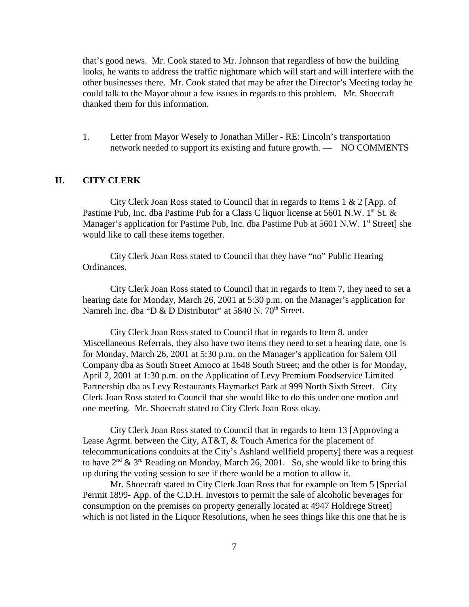that's good news. Mr. Cook stated to Mr. Johnson that regardless of how the building looks, he wants to address the traffic nightmare which will start and will interfere with the other businesses there. Mr. Cook stated that may be after the Director's Meeting today he could talk to the Mayor about a few issues in regards to this problem. Mr. Shoecraft thanked them for this information.

1. Letter from Mayor Wesely to Jonathan Miller - RE: Lincoln's transportation network needed to support its existing and future growth. — NO COMMENTS

#### **II. CITY CLERK**

City Clerk Joan Ross stated to Council that in regards to Items 1 & 2 [App. of Pastime Pub, Inc. dba Pastime Pub for a Class C liquor license at 5601 N.W.  $1<sup>st</sup>$  St.  $&$ Manager's application for Pastime Pub, Inc. dba Pastime Pub at 5601 N.W. 1<sup>st</sup> Street] she would like to call these items together.

City Clerk Joan Ross stated to Council that they have "no" Public Hearing Ordinances.

City Clerk Joan Ross stated to Council that in regards to Item 7, they need to set a hearing date for Monday, March 26, 2001 at 5:30 p.m. on the Manager's application for Namreh Inc. dba "D & D Distributor" at 5840 N. 70<sup>th</sup> Street.

City Clerk Joan Ross stated to Council that in regards to Item 8, under Miscellaneous Referrals, they also have two items they need to set a hearing date, one is for Monday, March 26, 2001 at 5:30 p.m. on the Manager's application for Salem Oil Company dba as South Street Amoco at 1648 South Street; and the other is for Monday, April 2, 2001 at 1:30 p.m. on the Application of Levy Premium Foodservice Limited Partnership dba as Levy Restaurants Haymarket Park at 999 North Sixth Street. City Clerk Joan Ross stated to Council that she would like to do this under one motion and one meeting. Mr. Shoecraft stated to City Clerk Joan Ross okay.

City Clerk Joan Ross stated to Council that in regards to Item 13 [Approving a Lease Agrmt. between the City, AT&T, & Touch America for the placement of telecommunications conduits at the City's Ashland wellfield property] there was a request to have  $2^{nd}$  &  $3^{rd}$  Reading on Monday, March 26, 2001. So, she would like to bring this up during the voting session to see if there would be a motion to allow it.

Mr. Shoecraft stated to City Clerk Joan Ross that for example on Item 5 [Special Permit 1899- App. of the C.D.H. Investors to permit the sale of alcoholic beverages for consumption on the premises on property generally located at 4947 Holdrege Street] which is not listed in the Liquor Resolutions, when he sees things like this one that he is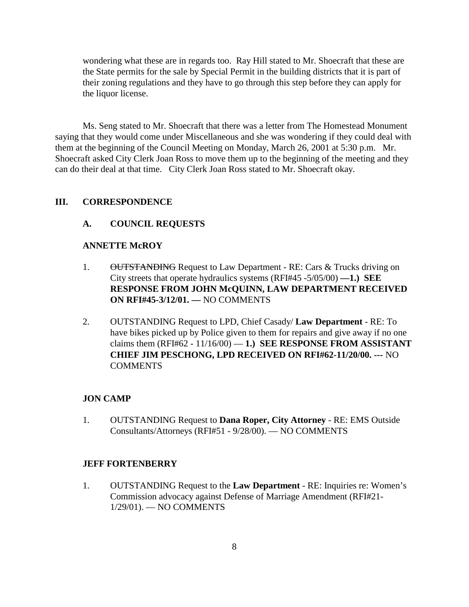wondering what these are in regards too. Ray Hill stated to Mr. Shoecraft that these are the State permits for the sale by Special Permit in the building districts that it is part of their zoning regulations and they have to go through this step before they can apply for the liquor license.

Ms. Seng stated to Mr. Shoecraft that there was a letter from The Homestead Monument saying that they would come under Miscellaneous and she was wondering if they could deal with them at the beginning of the Council Meeting on Monday, March 26, 2001 at 5:30 p.m. Mr. Shoecraft asked City Clerk Joan Ross to move them up to the beginning of the meeting and they can do their deal at that time. City Clerk Joan Ross stated to Mr. Shoecraft okay.

#### **III. CORRESPONDENCE**

#### **A. COUNCIL REQUESTS**

#### **ANNETTE McROY**

- 1. OUTSTANDING Request to Law Department RE: Cars & Trucks driving on City streets that operate hydraulics systems (RFI#45 -5/05/00) **—1.) SEE RESPONSE FROM JOHN McQUINN, LAW DEPARTMENT RECEIVED ON RFI#45-3/12/01. —** NO COMMENTS
- 2. OUTSTANDING Request to LPD, Chief Casady/ **Law Department** RE: To have bikes picked up by Police given to them for repairs and give away if no one claims them  $(RFI#62 - 11/16/00) - 1$ .) SEE RESPONSE FROM ASSISTANT **CHIEF JIM PESCHONG, LPD RECEIVED ON RFI#62-11/20/00. ---** NO COMMENTS

#### **JON CAMP**

1. OUTSTANDING Request to **Dana Roper, City Attorney** - RE: EMS Outside Consultants/Attorneys (RFI#51 - 9/28/00). — NO COMMENTS

#### **JEFF FORTENBERRY**

1. OUTSTANDING Request to the **Law Department** - RE: Inquiries re: Women's Commission advocacy against Defense of Marriage Amendment (RFI#21- 1/29/01). — NO COMMENTS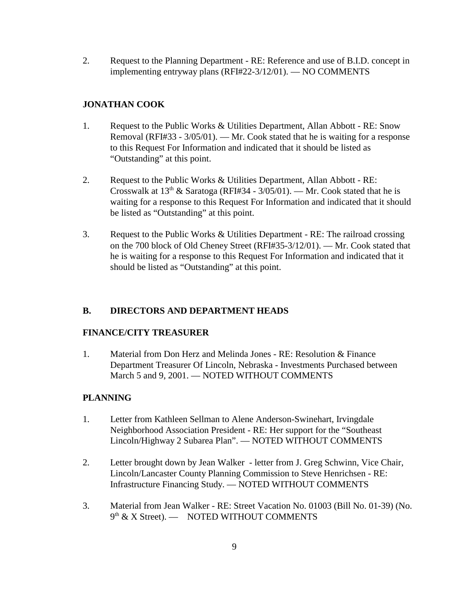2. Request to the Planning Department - RE: Reference and use of B.I.D. concept in implementing entryway plans (RFI#22-3/12/01). — NO COMMENTS

## **JONATHAN COOK**

- 1. Request to the Public Works & Utilities Department, Allan Abbott RE: Snow Removal (RFI#33 - 3/05/01). — Mr. Cook stated that he is waiting for a response to this Request For Information and indicated that it should be listed as "Outstanding" at this point.
- 2. Request to the Public Works & Utilities Department, Allan Abbott RE: Crosswalk at  $13^{th}$  & Saratoga (RFI#34 - 3/05/01). — Mr. Cook stated that he is waiting for a response to this Request For Information and indicated that it should be listed as "Outstanding" at this point.
- 3. Request to the Public Works & Utilities Department RE: The railroad crossing on the 700 block of Old Cheney Street (RFI#35-3/12/01). — Mr. Cook stated that he is waiting for a response to this Request For Information and indicated that it should be listed as "Outstanding" at this point.

### **B. DIRECTORS AND DEPARTMENT HEADS**

### **FINANCE/CITY TREASURER**

1. Material from Don Herz and Melinda Jones - RE: Resolution & Finance Department Treasurer Of Lincoln, Nebraska - Investments Purchased between March 5 and 9, 2001. — NOTED WITHOUT COMMENTS

## **PLANNING**

- 1. Letter from Kathleen Sellman to Alene Anderson-Swinehart, Irvingdale Neighborhood Association President - RE: Her support for the "Southeast Lincoln/Highway 2 Subarea Plan". — NOTED WITHOUT COMMENTS
- 2. Letter brought down by Jean Walker letter from J. Greg Schwinn, Vice Chair, Lincoln/Lancaster County Planning Commission to Steve Henrichsen - RE: Infrastructure Financing Study. — NOTED WITHOUT COMMENTS
- 3. Material from Jean Walker RE: Street Vacation No. 01003 (Bill No. 01-39) (No. 9<sup>th</sup> & X Street). — NOTED WITHOUT COMMENTS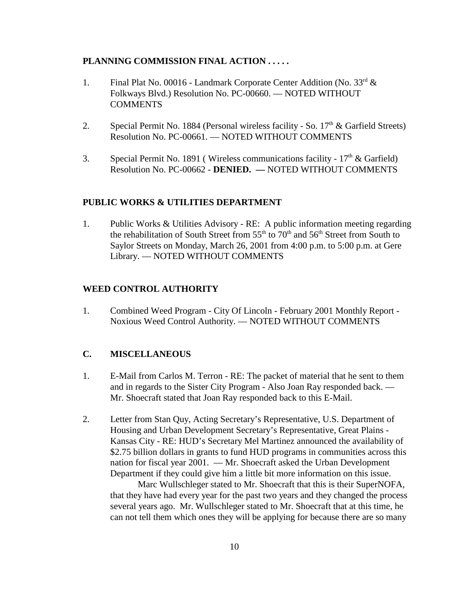#### **PLANNING COMMISSION FINAL ACTION . . . . .**

- 1. Final Plat No. 00016 Landmark Corporate Center Addition (No. 33rd & Folkways Blvd.) Resolution No. PC-00660. — NOTED WITHOUT COMMENTS
- 2. Special Permit No. 1884 (Personal wireless facility So.  $17<sup>th</sup>$  & Garfield Streets) Resolution No. PC-00661. — NOTED WITHOUT COMMENTS
- 3. Special Permit No. 1891 (Wireless communications facility  $17<sup>th</sup>$  & Garfield) Resolution No. PC-00662 - **DENIED. —** NOTED WITHOUT COMMENTS

#### **PUBLIC WORKS & UTILITIES DEPARTMENT**

1. Public Works & Utilities Advisory - RE: A public information meeting regarding the rehabilitation of South Street from  $55<sup>th</sup>$  to  $70<sup>th</sup>$  and  $56<sup>th</sup>$  Street from South to Saylor Streets on Monday, March 26, 2001 from 4:00 p.m. to 5:00 p.m. at Gere Library. — NOTED WITHOUT COMMENTS

#### **WEED CONTROL AUTHORITY**

1. Combined Weed Program - City Of Lincoln - February 2001 Monthly Report - Noxious Weed Control Authority. — NOTED WITHOUT COMMENTS

### **C. MISCELLANEOUS**

- 1. E-Mail from Carlos M. Terron RE: The packet of material that he sent to them and in regards to the Sister City Program - Also Joan Ray responded back. — Mr. Shoecraft stated that Joan Ray responded back to this E-Mail.
- 2. Letter from Stan Quy, Acting Secretary's Representative, U.S. Department of Housing and Urban Development Secretary's Representative, Great Plains - Kansas City - RE: HUD's Secretary Mel Martinez announced the availability of \$2.75 billion dollars in grants to fund HUD programs in communities across this nation for fiscal year 2001. — Mr. Shoecraft asked the Urban Development Department if they could give him a little bit more information on this issue.

Marc Wullschleger stated to Mr. Shoecraft that this is their SuperNOFA, that they have had every year for the past two years and they changed the process several years ago. Mr. Wullschleger stated to Mr. Shoecraft that at this time, he can not tell them which ones they will be applying for because there are so many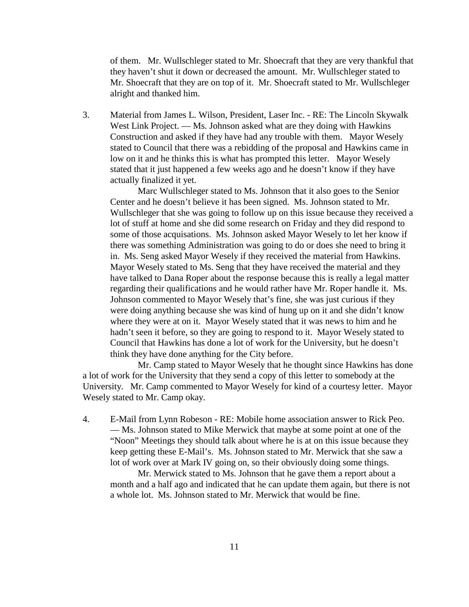of them. Mr. Wullschleger stated to Mr. Shoecraft that they are very thankful that they haven't shut it down or decreased the amount. Mr. Wullschleger stated to Mr. Shoecraft that they are on top of it. Mr. Shoecraft stated to Mr. Wullschleger alright and thanked him.

3. Material from James L. Wilson, President, Laser Inc. - RE: The Lincoln Skywalk West Link Project. — Ms. Johnson asked what are they doing with Hawkins Construction and asked if they have had any trouble with them. Mayor Wesely stated to Council that there was a rebidding of the proposal and Hawkins came in low on it and he thinks this is what has prompted this letter. Mayor Wesely stated that it just happened a few weeks ago and he doesn't know if they have actually finalized it yet.

Marc Wullschleger stated to Ms. Johnson that it also goes to the Senior Center and he doesn't believe it has been signed. Ms. Johnson stated to Mr. Wullschleger that she was going to follow up on this issue because they received a lot of stuff at home and she did some research on Friday and they did respond to some of those acquisations. Ms. Johnson asked Mayor Wesely to let her know if there was something Administration was going to do or does she need to bring it in. Ms. Seng asked Mayor Wesely if they received the material from Hawkins. Mayor Wesely stated to Ms. Seng that they have received the material and they have talked to Dana Roper about the response because this is really a legal matter regarding their qualifications and he would rather have Mr. Roper handle it. Ms. Johnson commented to Mayor Wesely that's fine, she was just curious if they were doing anything because she was kind of hung up on it and she didn't know where they were at on it. Mayor Wesely stated that it was news to him and he hadn't seen it before, so they are going to respond to it. Mayor Wesely stated to Council that Hawkins has done a lot of work for the University, but he doesn't think they have done anything for the City before.

Mr. Camp stated to Mayor Wesely that he thought since Hawkins has done a lot of work for the University that they send a copy of this letter to somebody at the University. Mr. Camp commented to Mayor Wesely for kind of a courtesy letter. Mayor Wesely stated to Mr. Camp okay.

4. E-Mail from Lynn Robeson - RE: Mobile home association answer to Rick Peo. — Ms. Johnson stated to Mike Merwick that maybe at some point at one of the "Noon" Meetings they should talk about where he is at on this issue because they keep getting these E-Mail's. Ms. Johnson stated to Mr. Merwick that she saw a lot of work over at Mark IV going on, so their obviously doing some things.

Mr. Merwick stated to Ms. Johnson that he gave them a report about a month and a half ago and indicated that he can update them again, but there is not a whole lot. Ms. Johnson stated to Mr. Merwick that would be fine.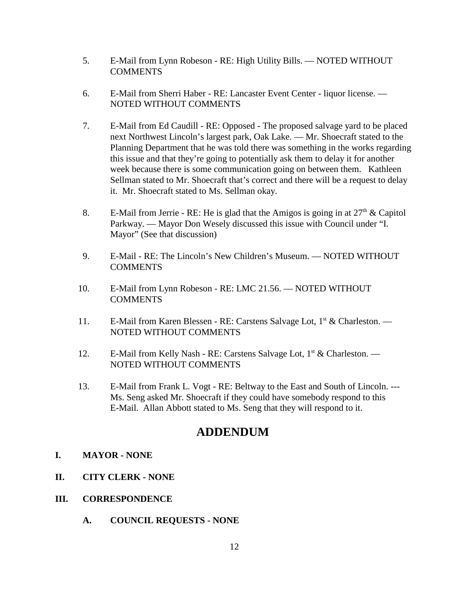- 5. E-Mail from Lynn Robeson RE: High Utility Bills. NOTED WITHOUT **COMMENTS**
- 6. E-Mail from Sherri Haber RE: Lancaster Event Center liquor license. NOTED WITHOUT COMMENTS
- 7. E-Mail from Ed Caudill RE: Opposed The proposed salvage yard to be placed next Northwest Lincoln's largest park, Oak Lake. — Mr. Shoecraft stated to the Planning Department that he was told there was something in the works regarding this issue and that they're going to potentially ask them to delay it for another week because there is some communication going on between them. Kathleen Sellman stated to Mr. Shoecraft that's correct and there will be a request to delay it. Mr. Shoecraft stated to Ms. Sellman okay.
- 8. E-Mail from Jerrie RE: He is glad that the Amigos is going in at  $27<sup>th</sup>$  & Capitol Parkway. — Mayor Don Wesely discussed this issue with Council under "I. Mayor" (See that discussion)
- 9. E-Mail RE: The Lincoln's New Children's Museum. NOTED WITHOUT COMMENTS
- 10. E-Mail from Lynn Robeson RE: LMC 21.56. NOTED WITHOUT **COMMENTS**
- 11. E-Mail from Karen Blessen RE: Carstens Salvage Lot, 1<sup>st</sup> & Charleston. NOTED WITHOUT COMMENTS
- 12. E-Mail from Kelly Nash RE: Carstens Salvage Lot,  $1<sup>st</sup>$  & Charleston. NOTED WITHOUT COMMENTS
- 13. E-Mail from Frank L. Vogt RE: Beltway to the East and South of Lincoln. --- Ms. Seng asked Mr. Shoecraft if they could have somebody respond to this E-Mail. Allan Abbott stated to Ms. Seng that they will respond to it.

# **ADDENDUM**

### **I. MAYOR - NONE**

- **II. CITY CLERK NONE**
- **III. CORRESPONDENCE**
	- **A. COUNCIL REQUESTS NONE**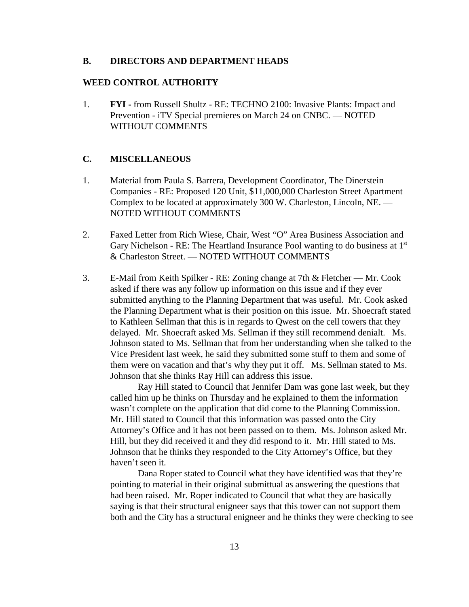#### **B. DIRECTORS AND DEPARTMENT HEADS**

#### **WEED CONTROL AUTHORITY**

1. **FYI -** from Russell Shultz - RE: TECHNO 2100: Invasive Plants: Impact and Prevention - iTV Special premieres on March 24 on CNBC. — NOTED WITHOUT COMMENTS

#### **C. MISCELLANEOUS**

- 1. Material from Paula S. Barrera, Development Coordinator, The Dinerstein Companies - RE: Proposed 120 Unit, \$11,000,000 Charleston Street Apartment Complex to be located at approximately 300 W. Charleston, Lincoln, NE. — NOTED WITHOUT COMMENTS
- 2. Faxed Letter from Rich Wiese, Chair, West "O" Area Business Association and Gary Nichelson - RE: The Heartland Insurance Pool wanting to do business at  $1<sup>st</sup>$ & Charleston Street. — NOTED WITHOUT COMMENTS
- 3. E-Mail from Keith Spilker RE: Zoning change at 7th & Fletcher Mr. Cook asked if there was any follow up information on this issue and if they ever submitted anything to the Planning Department that was useful. Mr. Cook asked the Planning Department what is their position on this issue. Mr. Shoecraft stated to Kathleen Sellman that this is in regards to Qwest on the cell towers that they delayed. Mr. Shoecraft asked Ms. Sellman if they still recommend denialt. Ms. Johnson stated to Ms. Sellman that from her understanding when she talked to the Vice President last week, he said they submitted some stuff to them and some of them were on vacation and that's why they put it off. Ms. Sellman stated to Ms. Johnson that she thinks Ray Hill can address this issue.

Ray Hill stated to Council that Jennifer Dam was gone last week, but they called him up he thinks on Thursday and he explained to them the information wasn't complete on the application that did come to the Planning Commission. Mr. Hill stated to Council that this information was passed onto the City Attorney's Office and it has not been passed on to them. Ms. Johnson asked Mr. Hill, but they did received it and they did respond to it. Mr. Hill stated to Ms. Johnson that he thinks they responded to the City Attorney's Office, but they haven't seen it.

Dana Roper stated to Council what they have identified was that they're pointing to material in their original submittual as answering the questions that had been raised. Mr. Roper indicated to Council that what they are basically saying is that their structural enigneer says that this tower can not support them both and the City has a structural enigneer and he thinks they were checking to see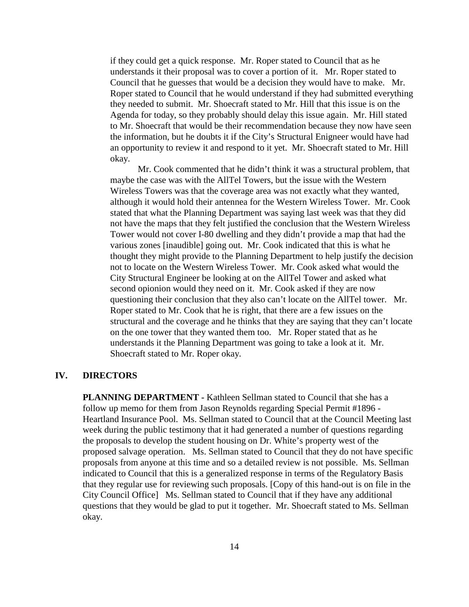if they could get a quick response. Mr. Roper stated to Council that as he understands it their proposal was to cover a portion of it. Mr. Roper stated to Council that he guesses that would be a decision they would have to make. Mr. Roper stated to Council that he would understand if they had submitted everything they needed to submit. Mr. Shoecraft stated to Mr. Hill that this issue is on the Agenda for today, so they probably should delay this issue again. Mr. Hill stated to Mr. Shoecraft that would be their recommendation because they now have seen the information, but he doubts it if the City's Structural Enigneer would have had an opportunity to review it and respond to it yet. Mr. Shoecraft stated to Mr. Hill okay.

Mr. Cook commented that he didn't think it was a structural problem, that maybe the case was with the AllTel Towers, but the issue with the Western Wireless Towers was that the coverage area was not exactly what they wanted, although it would hold their antennea for the Western Wireless Tower. Mr. Cook stated that what the Planning Department was saying last week was that they did not have the maps that they felt justified the conclusion that the Western Wireless Tower would not cover I-80 dwelling and they didn't provide a map that had the various zones [inaudible] going out. Mr. Cook indicated that this is what he thought they might provide to the Planning Department to help justify the decision not to locate on the Western Wireless Tower. Mr. Cook asked what would the City Structural Engineer be looking at on the AllTel Tower and asked what second opionion would they need on it. Mr. Cook asked if they are now questioning their conclusion that they also can't locate on the AllTel tower. Mr. Roper stated to Mr. Cook that he is right, that there are a few issues on the structural and the coverage and he thinks that they are saying that they can't locate on the one tower that they wanted them too. Mr. Roper stated that as he understands it the Planning Department was going to take a look at it. Mr. Shoecraft stated to Mr. Roper okay.

#### **IV. DIRECTORS**

**PLANNING DEPARTMENT -** Kathleen Sellman stated to Council that she has a follow up memo for them from Jason Reynolds regarding Special Permit #1896 - Heartland Insurance Pool. Ms. Sellman stated to Council that at the Council Meeting last week during the public testimony that it had generated a number of questions regarding the proposals to develop the student housing on Dr. White's property west of the proposed salvage operation. Ms. Sellman stated to Council that they do not have specific proposals from anyone at this time and so a detailed review is not possible. Ms. Sellman indicated to Council that this is a generalized response in terms of the Regulatory Basis that they regular use for reviewing such proposals. [Copy of this hand-out is on file in the City Council Office] Ms. Sellman stated to Council that if they have any additional questions that they would be glad to put it together. Mr. Shoecraft stated to Ms. Sellman okay.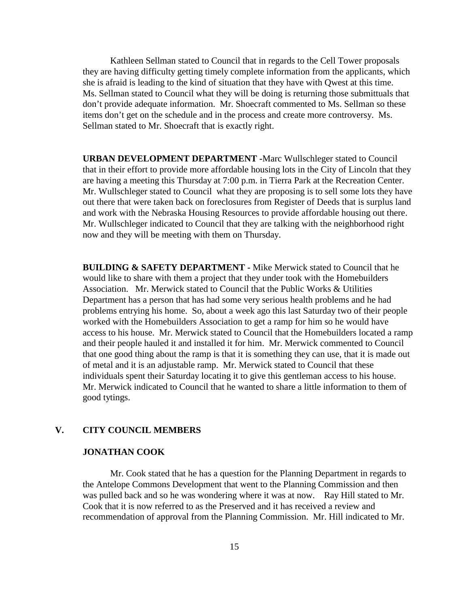Kathleen Sellman stated to Council that in regards to the Cell Tower proposals they are having difficulty getting timely complete information from the applicants, which she is afraid is leading to the kind of situation that they have with Qwest at this time. Ms. Sellman stated to Council what they will be doing is returning those submittuals that don't provide adequate information. Mr. Shoecraft commented to Ms. Sellman so these items don't get on the schedule and in the process and create more controversy. Ms. Sellman stated to Mr. Shoecraft that is exactly right.

**URBAN DEVELOPMENT DEPARTMENT -**Marc Wullschleger stated to Council that in their effort to provide more affordable housing lots in the City of Lincoln that they are having a meeting this Thursday at 7:00 p.m. in Tierra Park at the Recreation Center. Mr. Wullschleger stated to Council what they are proposing is to sell some lots they have out there that were taken back on foreclosures from Register of Deeds that is surplus land and work with the Nebraska Housing Resources to provide affordable housing out there. Mr. Wullschleger indicated to Council that they are talking with the neighborhood right now and they will be meeting with them on Thursday.

**BUILDING & SAFETY DEPARTMENT -** Mike Merwick stated to Council that he would like to share with them a project that they under took with the Homebuilders Association. Mr. Merwick stated to Council that the Public Works & Utilities Department has a person that has had some very serious health problems and he had problems entrying his home. So, about a week ago this last Saturday two of their people worked with the Homebuilders Association to get a ramp for him so he would have access to his house. Mr. Merwick stated to Council that the Homebuilders located a ramp and their people hauled it and installed it for him. Mr. Merwick commented to Council that one good thing about the ramp is that it is something they can use, that it is made out of metal and it is an adjustable ramp. Mr. Merwick stated to Council that these individuals spent their Saturday locating it to give this gentleman access to his house. Mr. Merwick indicated to Council that he wanted to share a little information to them of good tytings.

#### **V. CITY COUNCIL MEMBERS**

### **JONATHAN COOK**

Mr. Cook stated that he has a question for the Planning Department in regards to the Antelope Commons Development that went to the Planning Commission and then was pulled back and so he was wondering where it was at now. Ray Hill stated to Mr. Cook that it is now referred to as the Preserved and it has received a review and recommendation of approval from the Planning Commission. Mr. Hill indicated to Mr.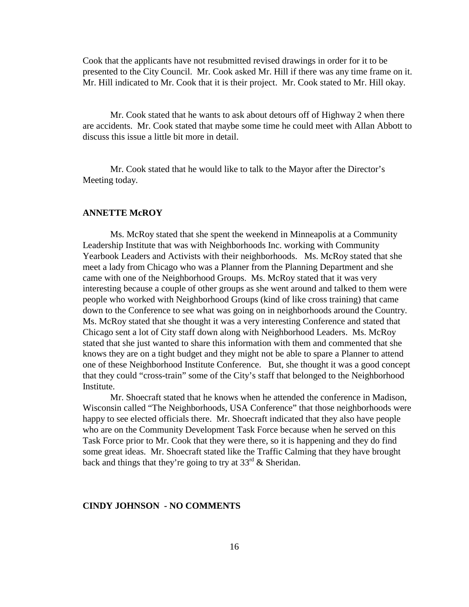Cook that the applicants have not resubmitted revised drawings in order for it to be presented to the City Council. Mr. Cook asked Mr. Hill if there was any time frame on it. Mr. Hill indicated to Mr. Cook that it is their project. Mr. Cook stated to Mr. Hill okay.

Mr. Cook stated that he wants to ask about detours off of Highway 2 when there are accidents. Mr. Cook stated that maybe some time he could meet with Allan Abbott to discuss this issue a little bit more in detail.

Mr. Cook stated that he would like to talk to the Mayor after the Director's Meeting today.

#### **ANNETTE McROY**

Ms. McRoy stated that she spent the weekend in Minneapolis at a Community Leadership Institute that was with Neighborhoods Inc. working with Community Yearbook Leaders and Activists with their neighborhoods. Ms. McRoy stated that she meet a lady from Chicago who was a Planner from the Planning Department and she came with one of the Neighborhood Groups. Ms. McRoy stated that it was very interesting because a couple of other groups as she went around and talked to them were people who worked with Neighborhood Groups (kind of like cross training) that came down to the Conference to see what was going on in neighborhoods around the Country. Ms. McRoy stated that she thought it was a very interesting Conference and stated that Chicago sent a lot of City staff down along with Neighborhood Leaders. Ms. McRoy stated that she just wanted to share this information with them and commented that she knows they are on a tight budget and they might not be able to spare a Planner to attend one of these Neighborhood Institute Conference. But, she thought it was a good concept that they could "cross-train" some of the City's staff that belonged to the Neighborhood **Institute.** 

Mr. Shoecraft stated that he knows when he attended the conference in Madison, Wisconsin called "The Neighborhoods, USA Conference" that those neighborhoods were happy to see elected officials there. Mr. Shoecraft indicated that they also have people who are on the Community Development Task Force because when he served on this Task Force prior to Mr. Cook that they were there, so it is happening and they do find some great ideas. Mr. Shoecraft stated like the Traffic Calming that they have brought back and things that they're going to try at  $33<sup>rd</sup>$  & Sheridan.

#### **CINDY JOHNSON - NO COMMENTS**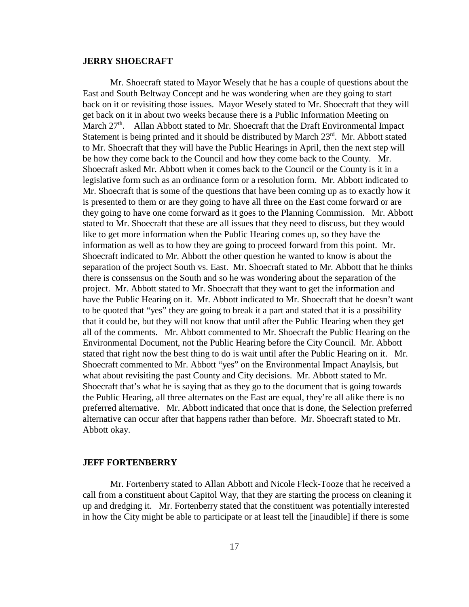#### **JERRY SHOECRAFT**

Mr. Shoecraft stated to Mayor Wesely that he has a couple of questions about the East and South Beltway Concept and he was wondering when are they going to start back on it or revisiting those issues. Mayor Wesely stated to Mr. Shoecraft that they will get back on it in about two weeks because there is a Public Information Meeting on March 27<sup>th</sup>. Allan Abbott stated to Mr. Shoecraft that the Draft Environmental Impact Statement is being printed and it should be distributed by March 23<sup>rd</sup>. Mr. Abbott stated to Mr. Shoecraft that they will have the Public Hearings in April, then the next step will be how they come back to the Council and how they come back to the County. Mr. Shoecraft asked Mr. Abbott when it comes back to the Council or the County is it in a legislative form such as an ordinance form or a resolution form. Mr. Abbott indicated to Mr. Shoecraft that is some of the questions that have been coming up as to exactly how it is presented to them or are they going to have all three on the East come forward or are they going to have one come forward as it goes to the Planning Commission. Mr. Abbott stated to Mr. Shoecraft that these are all issues that they need to discuss, but they would like to get more information when the Public Hearing comes up, so they have the information as well as to how they are going to proceed forward from this point. Mr. Shoecraft indicated to Mr. Abbott the other question he wanted to know is about the separation of the project South vs. East. Mr. Shoecraft stated to Mr. Abbott that he thinks there is conssensus on the South and so he was wondering about the separation of the project. Mr. Abbott stated to Mr. Shoecraft that they want to get the information and have the Public Hearing on it. Mr. Abbott indicated to Mr. Shoecraft that he doesn't want to be quoted that "yes" they are going to break it a part and stated that it is a possibility that it could be, but they will not know that until after the Public Hearing when they get all of the comments. Mr. Abbott commented to Mr. Shoecraft the Public Hearing on the Environmental Document, not the Public Hearing before the City Council. Mr. Abbott stated that right now the best thing to do is wait until after the Public Hearing on it. Mr. Shoecraft commented to Mr. Abbott "yes" on the Environmental Impact Anaylsis, but what about revisiting the past County and City decisions. Mr. Abbott stated to Mr. Shoecraft that's what he is saying that as they go to the document that is going towards the Public Hearing, all three alternates on the East are equal, they're all alike there is no preferred alternative. Mr. Abbott indicated that once that is done, the Selection preferred alternative can occur after that happens rather than before. Mr. Shoecraft stated to Mr. Abbott okay.

#### **JEFF FORTENBERRY**

Mr. Fortenberry stated to Allan Abbott and Nicole Fleck-Tooze that he received a call from a constituent about Capitol Way, that they are starting the process on cleaning it up and dredging it. Mr. Fortenberry stated that the constituent was potentially interested in how the City might be able to participate or at least tell the [inaudible] if there is some